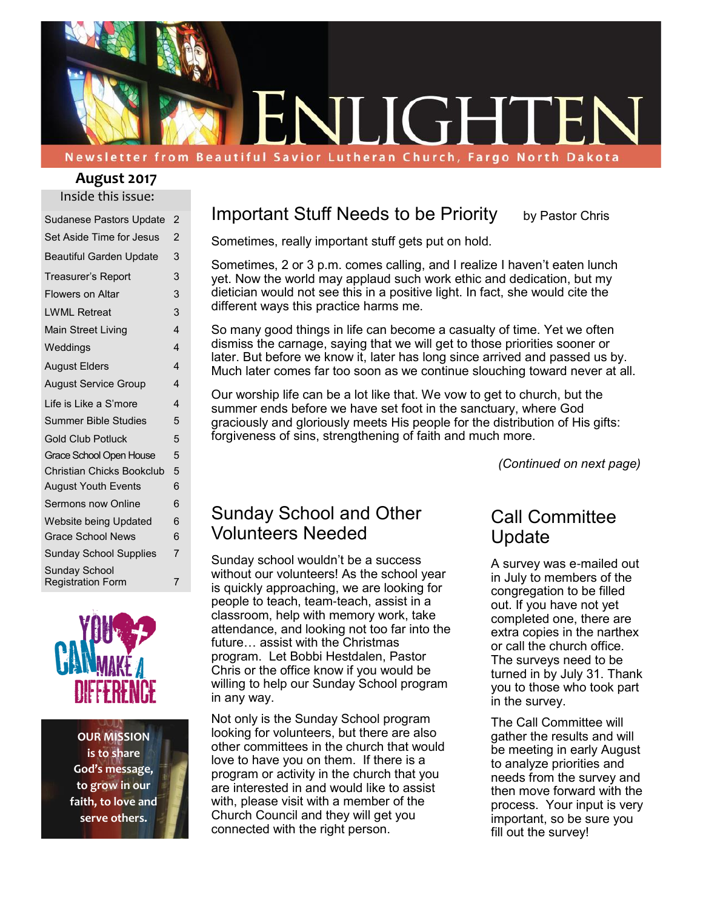

Newsletter from Beautiful Savior Lutheran Church, Fargo North Dakota

#### Inside this issue: **August 2017**

| <b>Sudanese Pastors Update</b><br>Set Aside Time for Jesus<br><b>Beautiful Garden Update</b><br>Treasurer's Report<br><b>Flowers on Altar</b><br>I WMI Retreat<br><b>Main Street Living</b><br>Weddings<br><b>August Elders</b><br><b>August Service Group</b><br>Life is Like a S'more<br><b>Summer Bible Studies</b><br><b>Gold Club Potluck</b><br>Grace School Open House<br>Christian Chicks Bookclub<br><b>August Youth Events</b><br><b>Sermons now Online</b><br><b>Website being Updated</b><br><b>Grace School News</b><br><b>Sunday School Supplies</b><br>Sunday School<br><b>Registration Form</b> |                |
|-----------------------------------------------------------------------------------------------------------------------------------------------------------------------------------------------------------------------------------------------------------------------------------------------------------------------------------------------------------------------------------------------------------------------------------------------------------------------------------------------------------------------------------------------------------------------------------------------------------------|----------------|
|                                                                                                                                                                                                                                                                                                                                                                                                                                                                                                                                                                                                                 | $\mathcal{P}$  |
|                                                                                                                                                                                                                                                                                                                                                                                                                                                                                                                                                                                                                 | $\mathcal{P}$  |
|                                                                                                                                                                                                                                                                                                                                                                                                                                                                                                                                                                                                                 | 3              |
|                                                                                                                                                                                                                                                                                                                                                                                                                                                                                                                                                                                                                 | 3              |
|                                                                                                                                                                                                                                                                                                                                                                                                                                                                                                                                                                                                                 | 3              |
|                                                                                                                                                                                                                                                                                                                                                                                                                                                                                                                                                                                                                 | 3              |
|                                                                                                                                                                                                                                                                                                                                                                                                                                                                                                                                                                                                                 | $\overline{A}$ |
|                                                                                                                                                                                                                                                                                                                                                                                                                                                                                                                                                                                                                 | $\overline{A}$ |
|                                                                                                                                                                                                                                                                                                                                                                                                                                                                                                                                                                                                                 | $\Delta$       |
|                                                                                                                                                                                                                                                                                                                                                                                                                                                                                                                                                                                                                 | $\overline{4}$ |
|                                                                                                                                                                                                                                                                                                                                                                                                                                                                                                                                                                                                                 | $\overline{A}$ |
|                                                                                                                                                                                                                                                                                                                                                                                                                                                                                                                                                                                                                 | 5              |
|                                                                                                                                                                                                                                                                                                                                                                                                                                                                                                                                                                                                                 | 5              |
|                                                                                                                                                                                                                                                                                                                                                                                                                                                                                                                                                                                                                 | 5              |
|                                                                                                                                                                                                                                                                                                                                                                                                                                                                                                                                                                                                                 | 5              |
|                                                                                                                                                                                                                                                                                                                                                                                                                                                                                                                                                                                                                 | 6              |
|                                                                                                                                                                                                                                                                                                                                                                                                                                                                                                                                                                                                                 | 6              |
|                                                                                                                                                                                                                                                                                                                                                                                                                                                                                                                                                                                                                 | 6              |
|                                                                                                                                                                                                                                                                                                                                                                                                                                                                                                                                                                                                                 | 6              |
|                                                                                                                                                                                                                                                                                                                                                                                                                                                                                                                                                                                                                 | 7              |
|                                                                                                                                                                                                                                                                                                                                                                                                                                                                                                                                                                                                                 | 7              |



**OUR MISSION is to share God's message, to grow in our faith, to love and serve others.**

## Important Stuff Needs to be Priority by Pastor Chris

Sometimes, really important stuff gets put on hold.

Sometimes, 2 or 3 p.m. comes calling, and I realize I haven't eaten lunch yet. Now the world may applaud such work ethic and dedication, but my dietician would not see this in a positive light. In fact, she would cite the different ways this practice harms me.

So many good things in life can become a casualty of time. Yet we often dismiss the carnage, saying that we will get to those priorities sooner or later. But before we know it, later has long since arrived and passed us by. Much later comes far too soon as we continue slouching toward never at all.

Our worship life can be a lot like that. We vow to get to church, but the summer ends before we have set foot in the sanctuary, where God graciously and gloriously meets His people for the distribution of His gifts: forgiveness of sins, strengthening of faith and much more.

*(Continued on next page)*

## Sunday School and Other Volunteers Needed

Sunday school wouldn't be a success without our volunteers! As the school year is quickly approaching, we are looking for people to teach, team-teach, assist in a classroom, help with memory work, take attendance, and looking not too far into the future… assist with the Christmas program. Let Bobbi Hestdalen, Pastor Chris or the office know if you would be willing to help our Sunday School program in any way.

Not only is the Sunday School program looking for volunteers, but there are also other committees in the church that would love to have you on them. If there is a program or activity in the church that you are interested in and would like to assist with, please visit with a member of the Church Council and they will get you connected with the right person.

## Call Committee Update

A survey was e-mailed out in July to members of the congregation to be filled out. If you have not yet completed one, there are extra copies in the narthex or call the church office. The surveys need to be turned in by July 31. Thank you to those who took part in the survey.

The Call Committee will gather the results and will be meeting in early August to analyze priorities and needs from the survey and then move forward with the process. Your input is very important, so be sure you fill out the survey!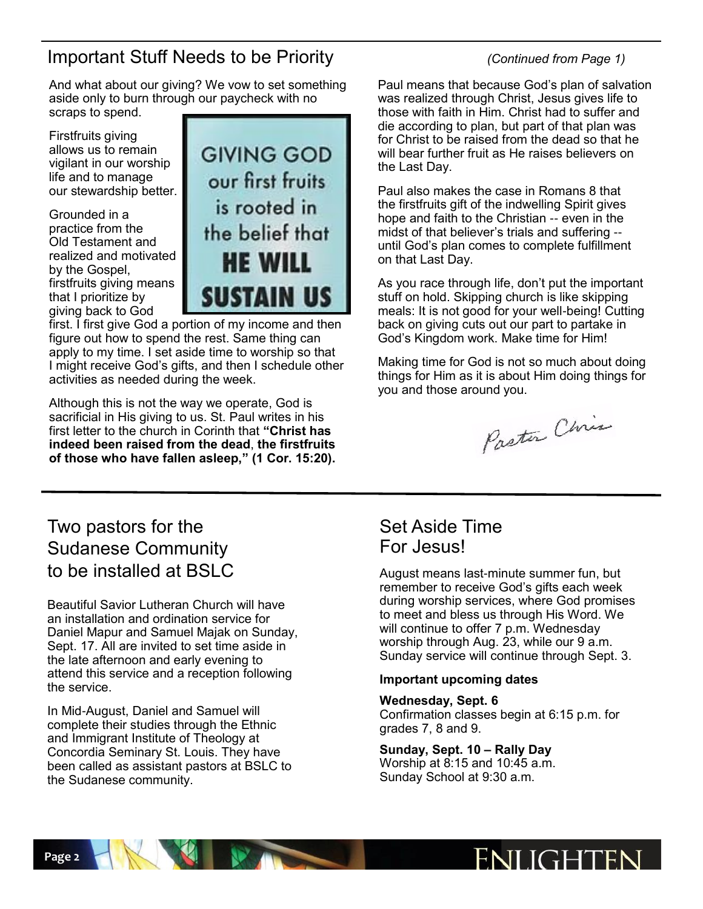# Important Stuff Needs to be Priority *(Continued from Page 1)*

And what about our giving? We vow to set something aside only to burn through our paycheck with no scraps to spend.

Firstfruits giving allows us to remain vigilant in our worship life and to manage our stewardship better.

Grounded in a practice from the Old Testament and realized and motivated by the Gospel, firstfruits giving means that I prioritize by giving back to God



first. I first give God a portion of my income and then figure out how to spend the rest. Same thing can apply to my time. I set aside time to worship so that I might receive God's gifts, and then I schedule other activities as needed during the week.

Although this is not the way we operate, God is sacrificial in His giving to us. St. Paul writes in his first letter to the church in Corinth that **"Christ has indeed been raised from the dead**, **the firstfruits of those who have fallen asleep," (1 Cor. 15:20).** Paul means that because God's plan of salvation was realized through Christ, Jesus gives life to those with faith in Him. Christ had to suffer and die according to plan, but part of that plan was for Christ to be raised from the dead so that he will bear further fruit as He raises believers on the Last Day.

Paul also makes the case in Romans 8 that the firstfruits gift of the indwelling Spirit gives hope and faith to the Christian -- even in the midst of that believer's trials and suffering - until God's plan comes to complete fulfillment on that Last Day.

As you race through life, don't put the important stuff on hold. Skipping church is like skipping meals: It is not good for your well-being! Cutting back on giving cuts out our part to partake in God's Kingdom work. Make time for Him!

Making time for God is not so much about doing things for Him as it is about Him doing things for you and those around you.

Paster Chris

# Two pastors for the Sudanese Community to be installed at BSLC

Beautiful Savior Lutheran Church will have an installation and ordination service for Daniel Mapur and Samuel Majak on Sunday, Sept. 17. All are invited to set time aside in the late afternoon and early evening to attend this service and a reception following the service.

In Mid-August, Daniel and Samuel will complete their studies through the Ethnic and Immigrant Institute of Theology at Concordia Seminary St. Louis. They have been called as assistant pastors at BSLC to the Sudanese community.

# Set Aside Time For Jesus!

August means last-minute summer fun, but remember to receive God's gifts each week during worship services, where God promises to meet and bless us through His Word. We will continue to offer 7 p.m. Wednesday worship through Aug. 23, while our 9 a.m. Sunday service will continue through Sept. 3.

#### **Important upcoming dates**

#### **Wednesday, Sept. 6**

Confirmation classes begin at 6:15 p.m. for grades 7, 8 and 9.

**Sunday, Sept. 10 – Rally Day** Worship at 8:15 and 10:45 a.m. Sunday School at 9:30 a.m.

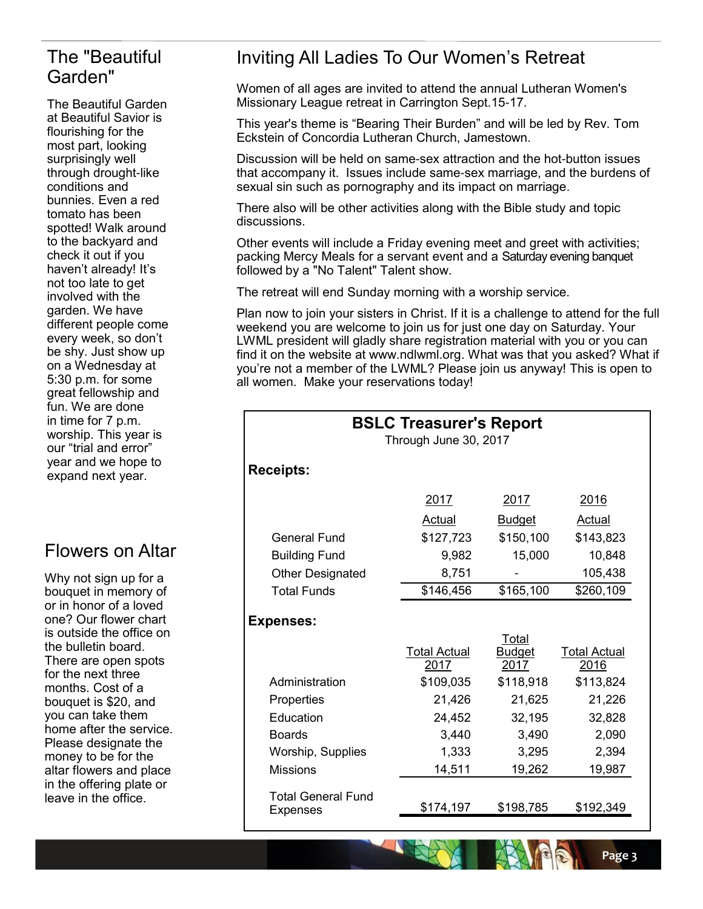## The "Beautiful Garden"

The Beautiful Garden at Beautiful Savior is flourishing for the most part, looking surprisingly well through drought-like conditions and bunnies. Even a red tomato has been spotted! Walk around to the backyard and check it out if you haven't already! It's not too late to get involved with the garden. We have different people come every week, so don't be shy. Just show up on a Wednesday at 5:30 p.m. for some great fellowship and fun. We are done in time for 7 p.m. worship. This year is our "trial and error" year and we hope to expand next year.

## Flowers on Altar

Why not sign up for a bouquet in memory of or in honor of a loved one? Our flower chart is outside the office on the bulletin board. There are open spots for the next three months. Cost of a bouquet is \$20, and you can take them home after the service. Please designate the money to be for the altar flowers and place in the offering plate or leave in the office.

# Inviting All Ladies To Our Women's Retreat

Women of all ages are invited to attend the annual Lutheran Women's Missionary League retreat in Carrington Sept.15-17.

This year's theme is "Bearing Their Burden" and will be led by Rev. Tom Eckstein of Concordia Lutheran Church, Jamestown.

Discussion will be held on same-sex attraction and the hot-button issues that accompany it. Issues include same-sex marriage, and the burdens of sexual sin such as pornography and its impact on marriage.

There also will be other activities along with the Bible study and topic discussions.

Other events will include a Friday evening meet and greet with activities; packing Mercy Meals for a servant event and a Saturday evening banquet followed by a "No Talent" Talent show.

The retreat will end Sunday morning with a worship service.

Plan now to join your sisters in Christ. If it is a challenge to attend for the full weekend you are welcome to join us for just one day on Saturday. Your LWML president will gladly share registration material with you or you can find it on the website at www.ndlwml.org. What was that you asked? What if you're not a member of the LWML? Please join us anyway! This is open to all women. Make your reservations today!

| <b>BSLC Treasurer's Report</b><br>Through June 30, 2017 |                             |                                |                             |
|---------------------------------------------------------|-----------------------------|--------------------------------|-----------------------------|
| <b>Receipts:</b>                                        |                             |                                |                             |
|                                                         | 2017                        | 2017                           | 2016                        |
|                                                         | Actual                      | <b>Budget</b>                  | Actual                      |
| <b>General Fund</b>                                     | \$127,723                   | \$150,100                      | \$143,823                   |
| <b>Building Fund</b>                                    | 9,982                       | 15,000                         | 10,848                      |
| <b>Other Designated</b>                                 | 8,751                       |                                | 105,438                     |
| <b>Total Funds</b>                                      | \$146,456                   | \$165,100                      | \$260,109                   |
| <b>Expenses:</b>                                        |                             |                                |                             |
|                                                         | <b>Total Actual</b><br>2017 | Total<br><b>Budget</b><br>2017 | <b>Total Actual</b><br>2016 |
| Administration                                          | \$109,035                   | \$118,918                      | \$113,824                   |
| Properties                                              | 21,426                      | 21,625                         | 21,226                      |
| Education                                               | 24,452                      | 32,195                         | 32,828                      |
| <b>Boards</b>                                           | 3,440                       | 3,490                          | 2,090                       |
| Worship, Supplies                                       | 1,333                       | 3,295                          | 2,394                       |
| <b>Missions</b>                                         | 14,511                      | 19,262                         | 19,987                      |
| <b>Total General Fund</b><br><b>Expenses</b>            | \$174,197                   | \$198,785                      | \$192,349                   |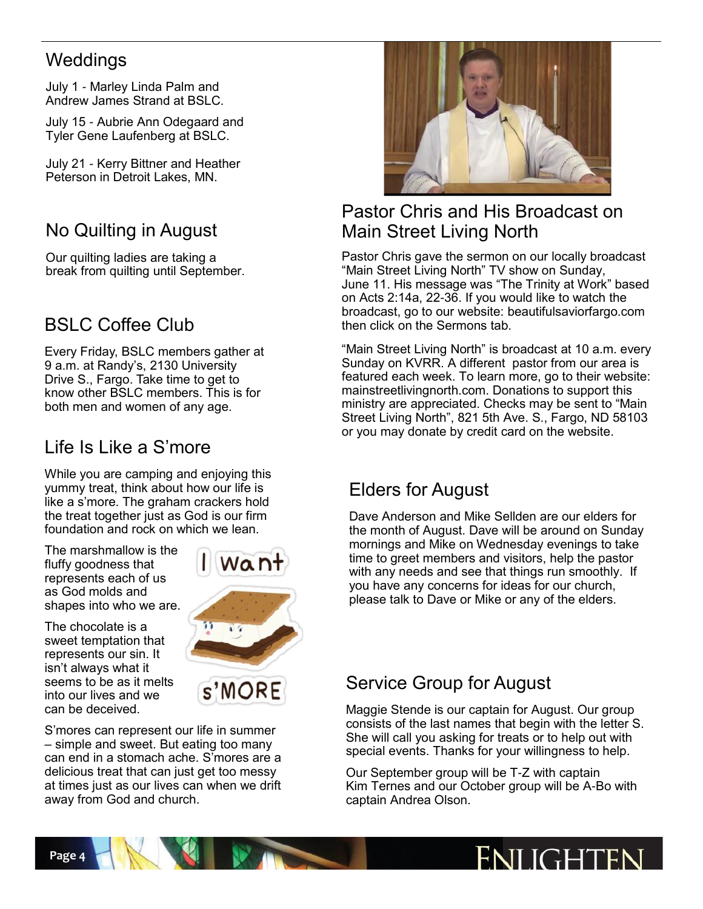# Weddings

July 1 - Marley Linda Palm and Andrew James Strand at BSLC.

July 15 - Aubrie Ann Odegaard and Tyler Gene Laufenberg at BSLC.

July 21 - Kerry Bittner and Heather Peterson in Detroit Lakes, MN.

Our quilting ladies are taking a break from quilting until September.

# BSLC Coffee Club

Every Friday, BSLC members gather at 9 a.m. at Randy's, 2130 University Drive S., Fargo. Take time to get to know other BSLC members. This is for both men and women of any age.

# Life Is Like a S'more

While you are camping and enjoying this yummy treat, think about how our life is like a s'more. The graham crackers hold the treat together just as God is our firm foundation and rock on which we lean.

The marshmallow is the fluffy goodness that represents each of us as God molds and shapes into who we are.

The chocolate is a sweet temptation that represents our sin. It isn't always what it seems to be as it melts into our lives and we can be deceived.



S'mores can represent our life in summer – simple and sweet. But eating too many can end in a stomach ache. S'mores are a delicious treat that can just get too messy at times just as our lives can when we drift away from God and church.



## Pastor Chris and His Broadcast on No Quilting in August Main Street Living North

Pastor Chris gave the sermon on our locally broadcast "Main Street Living North" TV show on Sunday, June 11. His message was "The Trinity at Work" based on Acts 2:14a, 22-36. If you would like to watch the broadcast, go to our website: beautifulsaviorfargo.com then click on the Sermons tab.

"Main Street Living North" is broadcast at 10 a.m. every Sunday on KVRR. A different pastor from our area is featured each week. To learn more, go to their website: mainstreetlivingnorth.com. Donations to support this ministry are appreciated. Checks may be sent to "Main Street Living North", 821 5th Ave. S., Fargo, ND 58103 or you may donate by credit card on the website.

# Elders for August

Dave Anderson and Mike Sellden are our elders for the month of August. Dave will be around on Sunday mornings and Mike on Wednesday evenings to take time to greet members and visitors, help the pastor with any needs and see that things run smoothly. If you have any concerns for ideas for our church, please talk to Dave or Mike or any of the elders.

# Service Group for August

Maggie Stende is our captain for August. Our group consists of the last names that begin with the letter S. She will call you asking for treats or to help out with special events. Thanks for your willingness to help.

Our September group will be T-Z with captain Kim Ternes and our October group will be A-Bo with captain Andrea Olson.

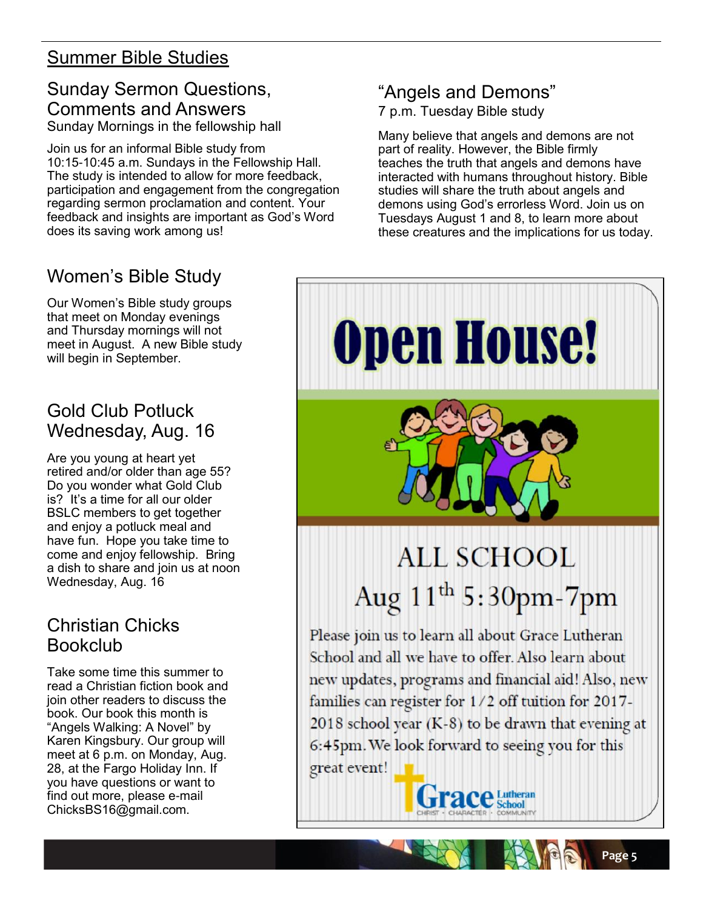# Summer Bible Studies

### Sunday Sermon Questions, Comments and Answers Sunday Mornings in the fellowship hall

Join us for an informal Bible study from 10:15-10:45 a.m. Sundays in the Fellowship Hall. The study is intended to allow for more feedback, participation and engagement from the congregation regarding sermon proclamation and content. Your feedback and insights are important as God's Word does its saving work among us!

# "Angels and Demons"

7 p.m. Tuesday Bible study

Many believe that angels and demons are not part of reality. However, the Bible firmly teaches the truth that angels and demons have interacted with humans throughout history. Bible studies will share the truth about angels and demons using God's errorless Word. Join us on Tuesdays August 1 and 8, to learn more about these creatures and the implications for us today.

# Women's Bible Study

Our Women's Bible study groups that meet on Monday evenings and Thursday mornings will not meet in August. A new Bible study will begin in September.

## Gold Club Potluck Wednesday, Aug. 16

Are you young at heart yet retired and/or older than age 55? Do you wonder what Gold Club is? It's a time for all our older BSLC members to get together and enjoy a potluck meal and have fun. Hope you take time to come and enjoy fellowship. Bring a dish to share and join us at noon Wednesday, Aug. 16

## Christian Chicks Bookclub

Take some time this summer to read a Christian fiction book and join other readers to discuss the book. Our book this month is "Angels Walking: A Novel" by Karen Kingsbury. Our group will meet at 6 p.m. on Monday, Aug. 28, at the Fargo Holiday Inn. If you have questions or want to find out more, please e-mail ChicksBS16@gmail.com.

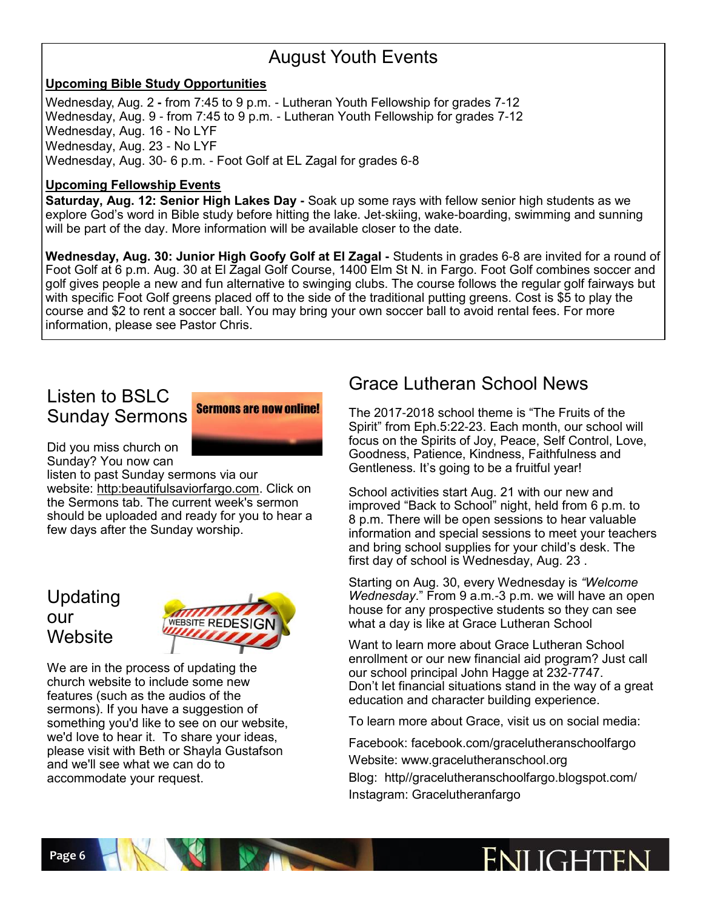# August Youth Events

#### **Upcoming Bible Study Opportunities**

Wednesday, Aug. 2 **-** from 7:45 to 9 p.m. - Lutheran Youth Fellowship for grades 7-12 Wednesday, Aug. 9 - from 7:45 to 9 p.m. - Lutheran Youth Fellowship for grades 7-12 Wednesday, Aug. 16 - No LYF Wednesday, Aug. 23 - No LYF Wednesday, Aug. 30- 6 p.m. - Foot Golf at EL Zagal for grades 6-8

#### **Upcoming Fellowship Events**

**Saturday, Aug. 12: Senior High Lakes Day -** Soak up some rays with fellow senior high students as we explore God's word in Bible study before hitting the lake. Jet-skiing, wake-boarding, swimming and sunning will be part of the day. More information will be available closer to the date.

**Wednesday, Aug. 30: Junior High Goofy Golf at El Zagal -** Students in grades 6-8 are invited for a round of Foot Golf at 6 p.m. Aug. 30 at El Zagal Golf Course, 1400 Elm St N. in Fargo. Foot Golf combines soccer and golf gives people a new and fun alternative to swinging clubs. The course follows the regular golf fairways but with specific Foot Golf greens placed off to the side of the traditional putting greens. Cost is \$5 to play the course and \$2 to rent a soccer ball. You may bring your own soccer ball to avoid rental fees. For more information, please see Pastor Chris.

## Listen to BSLC Sunday Sermons



Did you miss church on Sunday? You now can

listen to past Sunday sermons via our

website: http:beautifulsaviorfargo.com. Click on the Sermons tab. The current week's sermon should be uploaded and ready for you to hear a few days after the Sunday worship.

## Updating our **Website**



We are in the process of updating the church website to include some new features (such as the audios of the sermons). If you have a suggestion of something you'd like to see on our website, we'd love to hear it. To share your ideas, please visit with Beth or Shayla Gustafson and we'll see what we can do to accommodate your request.

# Grace Lutheran School News

The 2017-2018 school theme is "The Fruits of the Spirit" from Eph.5:22-23. Each month, our school will focus on the Spirits of Joy, Peace, Self Control, Love, Goodness, Patience, Kindness, Faithfulness and Gentleness. It's going to be a fruitful year!

School activities start Aug. 21 with our new and improved "Back to School" night, held from 6 p.m. to 8 p.m. There will be open sessions to hear valuable information and special sessions to meet your teachers and bring school supplies for your child's desk. The first day of school is Wednesday, Aug. 23 .

Starting on Aug. 30, every Wednesday is *"Welcome Wednesday*." From 9 a.m.-3 p.m. we will have an open house for any prospective students so they can see what a day is like at Grace Lutheran School

Want to learn more about Grace Lutheran School enrollment or our new financial aid program? Just call our school principal John Hagge at 232-7747. Don't let financial situations stand in the way of a great education and character building experience.

To learn more about Grace, visit us on social media:

Facebook: facebook.com/gracelutheranschoolfargo

Website: www.gracelutheranschool.org

Blog: http//gracelutheranschoolfargo.blogspot.com/ Instagram: Gracelutheranfargo

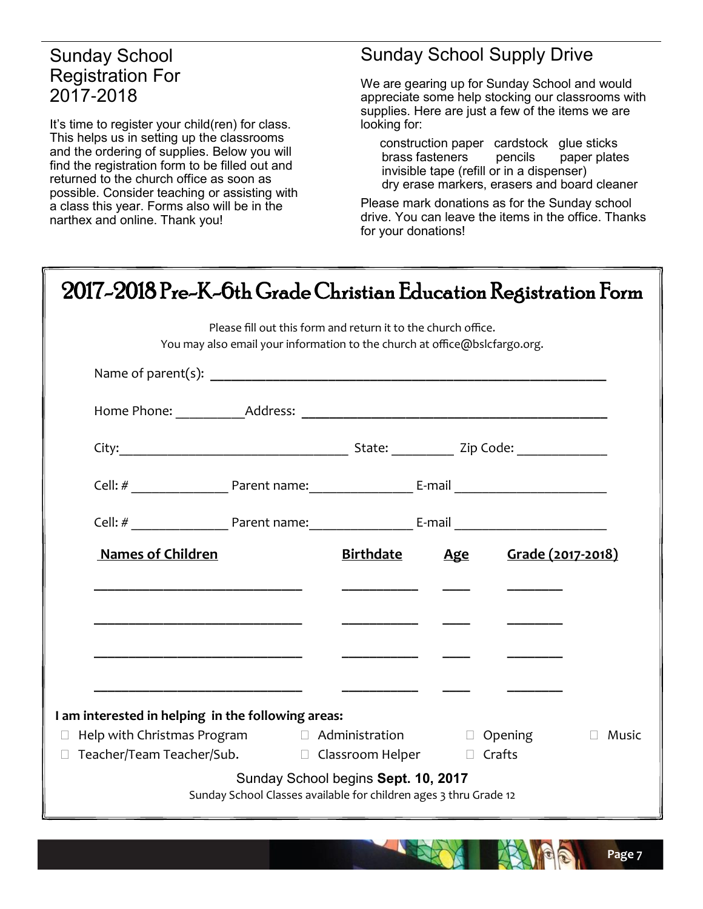## Sunday School Registration For 2017-2018

It's time to register your child(ren) for class. This helps us in setting up the classrooms and the ordering of supplies. Below you will find the registration form to be filled out and returned to the church office as soon as possible. Consider teaching or assisting with a class this year. Forms also will be in the narthex and online. Thank you!

# Sunday School Supply Drive

We are gearing up for Sunday School and would appreciate some help stocking our classrooms with supplies. Here are just a few of the items we are looking for:

 construction paper cardstock glue sticks brass fasteners pencils paper plates invisible tape (refill or in a dispenser) dry erase markers, erasers and board cleaner

Please mark donations as for the Sunday school drive. You can leave the items in the office. Thanks for your donations!

# 2017-2018 Pre-K-6th Grade Christian Education Registration Form

Please fill out this form and return it to the church office. You may also email your information to the church at office@bslcfargo.org.

| <b>Names of Children</b>                                                                                              |                                                                                                          | Birthdate Age Grade (2017-2018) |                 |
|-----------------------------------------------------------------------------------------------------------------------|----------------------------------------------------------------------------------------------------------|---------------------------------|-----------------|
|                                                                                                                       | <u> Andreas and and and and and and and and and an</u>                                                   |                                 |                 |
|                                                                                                                       |                                                                                                          |                                 |                 |
| <u> 1980 - Jan Barbarat, manazarta da kasas da shekara 1980 - Ang Barbarat na Barbara na Barbara na Santa Barbara</u> |                                                                                                          |                                 |                 |
|                                                                                                                       |                                                                                                          |                                 |                 |
|                                                                                                                       |                                                                                                          |                                 |                 |
| I am interested in helping in the following areas:                                                                    |                                                                                                          |                                 |                 |
| $\Box$ Help with Christmas Program $\Box$ Administration $\Box$ Opening                                               |                                                                                                          |                                 | $\Box$<br>Music |
| Teacher/Team Teacher/Sub. □ Classroom Helper □ Crafts                                                                 |                                                                                                          |                                 |                 |
|                                                                                                                       | Sunday School begins Sept. 10, 2017<br>Sunday School Classes available for children ages 3 thru Grade 12 |                                 |                 |